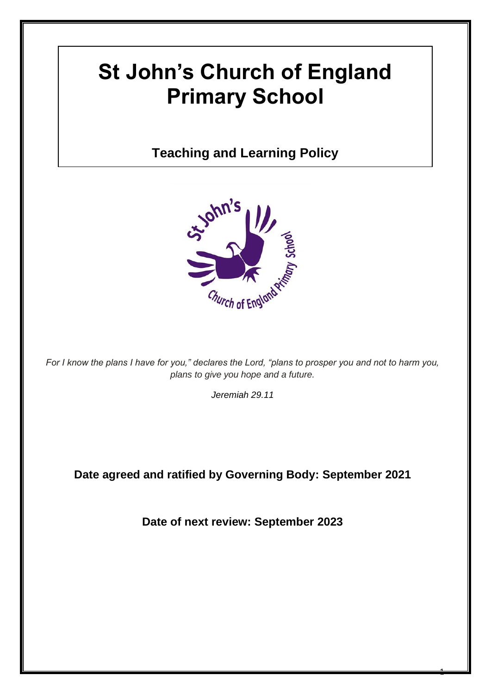# **St John's Church of England Primary School**

# **Teaching and Learning Policy**



*For I know the plans I have for you," declares the Lord, "plans to prosper you and not to harm you, plans to give you hope and a future.*

*Jeremiah 29.11*

**Date agreed and ratified by Governing Body: September 2021**

**Date of next review: September 2023**

 $\ddot{\phantom{1}}$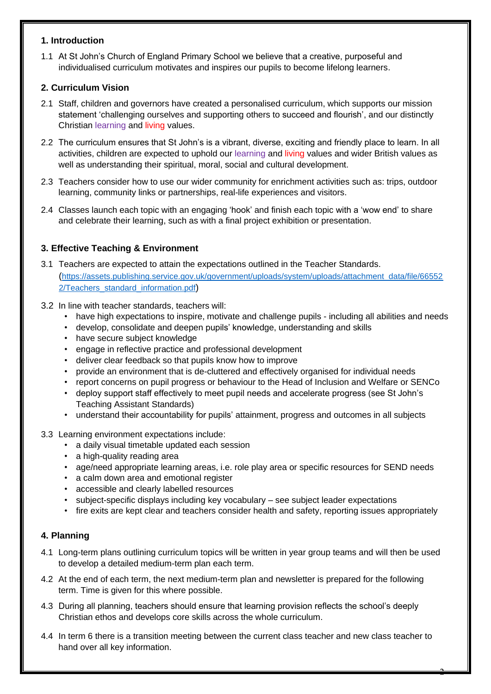#### **1. Introduction**

1.1 At St John's Church of England Primary School we believe that a creative, purposeful and individualised curriculum motivates and inspires our pupils to become lifelong learners.

#### **2. Curriculum Vision**

- 2.1 Staff, children and governors have created a personalised curriculum, which supports our mission statement 'challenging ourselves and supporting others to succeed and flourish', and our distinctly Christian learning and living values.
- 2.2 The curriculum ensures that St John's is a vibrant, diverse, exciting and friendly place to learn. In all activities, children are expected to uphold our learning and living values and wider British values as well as understanding their spiritual, moral, social and cultural development.
- 2.3 Teachers consider how to use our wider community for enrichment activities such as: trips, outdoor learning, community links or partnerships, real-life experiences and visitors.
- 2.4 Classes launch each topic with an engaging 'hook' and finish each topic with a 'wow end' to share and celebrate their learning, such as with a final project exhibition or presentation.

# **3. Effective Teaching & Environment**

- 3.1 Teachers are expected to attain the expectations outlined in the Teacher Standards. ([https://assets.publishing.service.gov.uk/government/uploads/system/uploads/attachment\\_data/file/66552](https://assets.publishing.service.gov.uk/government/uploads/system/uploads/attachment_data/file/665522/Teachers_standard_information.pdf) [2/Teachers\\_standard\\_information.pdf](https://assets.publishing.service.gov.uk/government/uploads/system/uploads/attachment_data/file/665522/Teachers_standard_information.pdf))
- 3.2 In line with teacher standards, teachers will:
	- have high expectations to inspire, motivate and challenge pupils including all abilities and needs
	- develop, consolidate and deepen pupils' knowledge, understanding and skills
	- have secure subject knowledge
	- engage in reflective practice and professional development
	- deliver clear feedback so that pupils know how to improve
	- provide an environment that is de-cluttered and effectively organised for individual needs
	- report concerns on pupil progress or behaviour to the Head of Inclusion and Welfare or SENCo
	- deploy support staff effectively to meet pupil needs and accelerate progress (see St John's Teaching Assistant Standards)
	- understand their accountability for pupils' attainment, progress and outcomes in all subjects
- 3.3 Learning environment expectations include:
	- a daily visual timetable updated each session
	- a high-quality reading area
	- age/need appropriate learning areas, i.e. role play area or specific resources for SEND needs
	- a calm down area and emotional register
	- accessible and clearly labelled resources
	- subject-specific displays including key vocabulary see subject leader expectations
	- fire exits are kept clear and teachers consider health and safety, reporting issues appropriately

#### **4. Planning**

- 4.1 Long-term plans outlining curriculum topics will be written in year group teams and will then be used to develop a detailed medium-term plan each term.
- 4.2 At the end of each term, the next medium-term plan and newsletter is prepared for the following term. Time is given for this where possible.
- 4.3 During all planning, teachers should ensure that learning provision reflects the school's deeply Christian ethos and develops core skills across the whole curriculum.
- 4.4 In term 6 there is a transition meeting between the current class teacher and new class teacher to hand over all key information.

2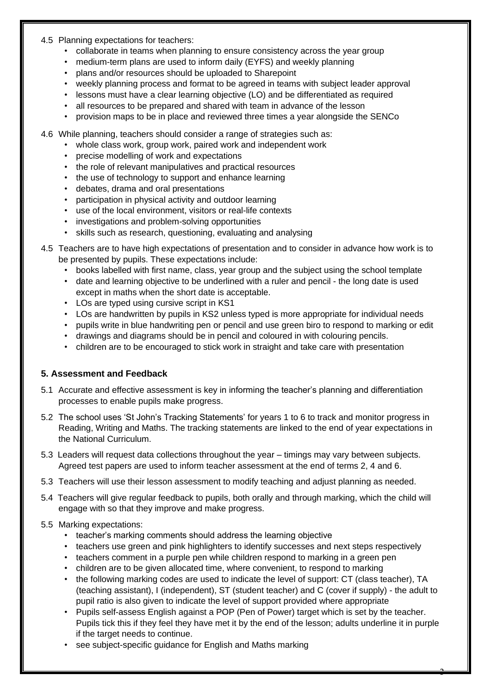#### 4.5 Planning expectations for teachers:

- collaborate in teams when planning to ensure consistency across the year group
- medium-term plans are used to inform daily (EYFS) and weekly planning
- plans and/or resources should be uploaded to Sharepoint
- weekly planning process and format to be agreed in teams with subject leader approval
- lessons must have a clear learning objective (LO) and be differentiated as required
- all resources to be prepared and shared with team in advance of the lesson
- provision maps to be in place and reviewed three times a year alongside the SENCo
- 4.6 While planning, teachers should consider a range of strategies such as:
	- whole class work, group work, paired work and independent work
	- precise modelling of work and expectations
	- the role of relevant manipulatives and practical resources
	- the use of technology to support and enhance learning
	- debates, drama and oral presentations
	- participation in physical activity and outdoor learning
	- use of the local environment, visitors or real-life contexts
	- investigations and problem-solving opportunities
	- skills such as research, questioning, evaluating and analysing
- 4.5 Teachers are to have high expectations of presentation and to consider in advance how work is to be presented by pupils. These expectations include:
	- books labelled with first name, class, year group and the subject using the school template
	- date and learning objective to be underlined with a ruler and pencil the long date is used except in maths when the short date is acceptable.
	- LOs are typed using cursive script in KS1
	- LOs are handwritten by pupils in KS2 unless typed is more appropriate for individual needs
	- pupils write in blue handwriting pen or pencil and use green biro to respond to marking or edit
	- drawings and diagrams should be in pencil and coloured in with colouring pencils.
	- children are to be encouraged to stick work in straight and take care with presentation

#### **5. Assessment and Feedback**

- 5.1 Accurate and effective assessment is key in informing the teacher's planning and differentiation processes to enable pupils make progress.
- 5.2 The school uses 'St John's Tracking Statements' for years 1 to 6 to track and monitor progress in Reading, Writing and Maths. The tracking statements are linked to the end of year expectations in the National Curriculum.
- 5.3 Leaders will request data collections throughout the year timings may vary between subjects. Agreed test papers are used to inform teacher assessment at the end of terms 2, 4 and 6.
- 5.3 Teachers will use their lesson assessment to modify teaching and adjust planning as needed.
- 5.4 Teachers will give regular feedback to pupils, both orally and through marking, which the child will engage with so that they improve and make progress.

#### 5.5 Marking expectations:

- teacher's marking comments should address the learning objective
- teachers use green and pink highlighters to identify successes and next steps respectively
- teachers comment in a purple pen while children respond to marking in a green pen
- children are to be given allocated time, where convenient, to respond to marking
- the following marking codes are used to indicate the level of support: CT (class teacher), TA (teaching assistant), I (independent), ST (student teacher) and C (cover if supply) - the adult to pupil ratio is also given to indicate the level of support provided where appropriate
- Pupils self-assess English against a POP (Pen of Power) target which is set by the teacher. Pupils tick this if they feel they have met it by the end of the lesson; adults underline it in purple if the target needs to continue.

3

see subject-specific guidance for English and Maths marking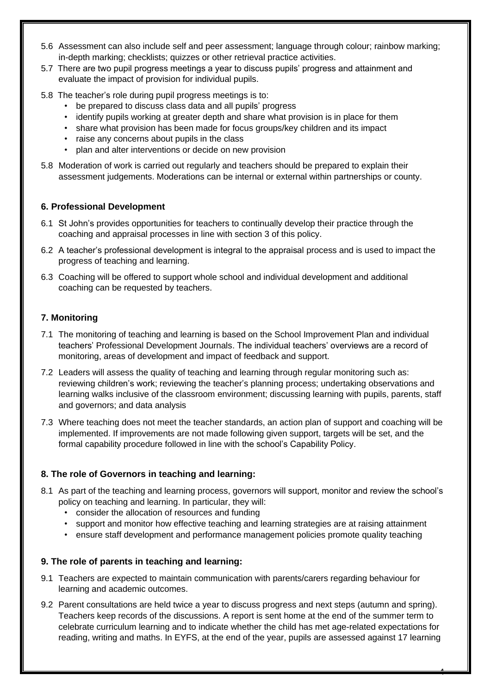- 5.6 Assessment can also include self and peer assessment; language through colour; rainbow marking; in-depth marking; checklists; quizzes or other retrieval practice activities.
- 5.7 There are two pupil progress meetings a year to discuss pupils' progress and attainment and evaluate the impact of provision for individual pupils.
- 5.8 The teacher's role during pupil progress meetings is to:
	- be prepared to discuss class data and all pupils' progress
	- identify pupils working at greater depth and share what provision is in place for them
	- share what provision has been made for focus groups/key children and its impact
	- raise any concerns about pupils in the class
	- plan and alter interventions or decide on new provision
- 5.8 Moderation of work is carried out regularly and teachers should be prepared to explain their assessment judgements. Moderations can be internal or external within partnerships or county.

#### **6. Professional Development**

- 6.1 St John's provides opportunities for teachers to continually develop their practice through the coaching and appraisal processes in line with section 3 of this policy.
- 6.2 A teacher's professional development is integral to the appraisal process and is used to impact the progress of teaching and learning.
- 6.3 Coaching will be offered to support whole school and individual development and additional coaching can be requested by teachers.

# **7. Monitoring**

- 7.1 The monitoring of teaching and learning is based on the School Improvement Plan and individual teachers' Professional Development Journals. The individual teachers' overviews are a record of monitoring, areas of development and impact of feedback and support.
- 7.2 Leaders will assess the quality of teaching and learning through regular monitoring such as: reviewing children's work; reviewing the teacher's planning process; undertaking observations and learning walks inclusive of the classroom environment; discussing learning with pupils, parents, staff and governors; and data analysis
- 7.3 Where teaching does not meet the teacher standards, an action plan of support and coaching will be implemented. If improvements are not made following given support, targets will be set, and the formal capability procedure followed in line with the school's Capability Policy.

# **8. The role of Governors in teaching and learning:**

- 8.1 As part of the teaching and learning process, governors will support, monitor and review the school's policy on teaching and learning. In particular, they will:
	- consider the allocation of resources and funding
	- support and monitor how effective teaching and learning strategies are at raising attainment
	- ensure staff development and performance management policies promote quality teaching

# **9. The role of parents in teaching and learning:**

- 9.1 Teachers are expected to maintain communication with parents/carers regarding behaviour for learning and academic outcomes.
- 9.2 Parent consultations are held twice a year to discuss progress and next steps (autumn and spring). Teachers keep records of the discussions. A report is sent home at the end of the summer term to celebrate curriculum learning and to indicate whether the child has met age-related expectations for reading, writing and maths. In EYFS, at the end of the year, pupils are assessed against 17 learning

4